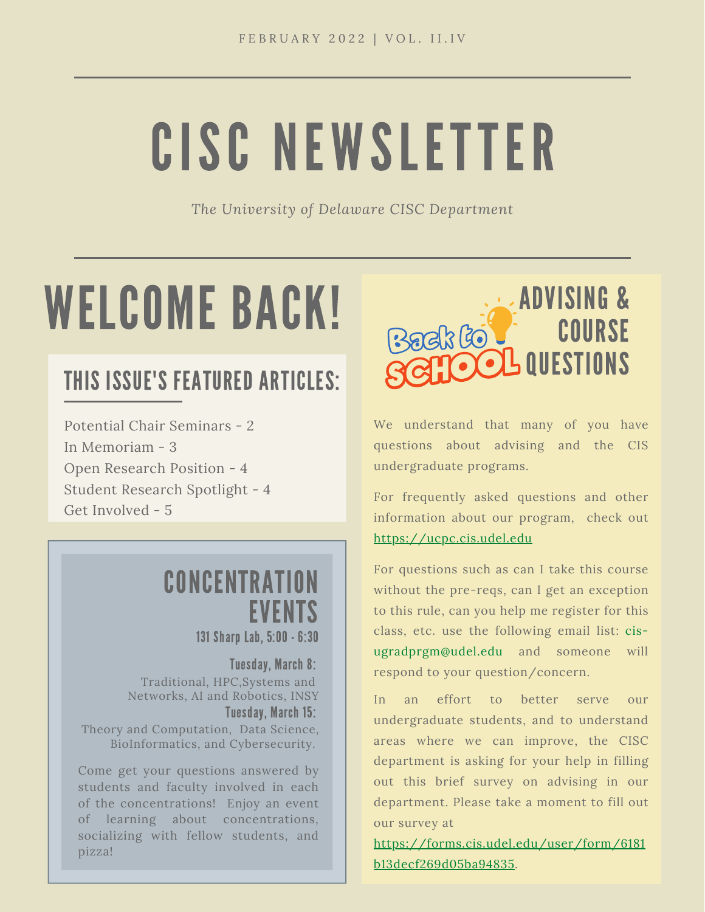# CISC NEWSLETTER

*The University of Delaware CISC Department*

# WELCOME BACK!

## THIS ISSUE'S FEATURED ARTICLES:

Potential Chair Seminars - 2 In Memoriam - 3 Open Research Position - 4 Student Research Spotlight - 4 Get Involved - 5

## **CONCENTRATION** EVENTS

131 Sharp Lab, 5:00 - 6:30

Tuesday, March 8: Traditional, HPC,Systems and Networks, AI and Robotics, INSY Tuesday, March 15: Theory and Computation, Data Science, BioInformatics, and Cybersecurity.

Come get your questions answered by students and faculty involved in each of the concentrations! Enjoy an event of learning about concentrations, socializing with fellow students, and pizza!



We understand that many of you have questions about advising and the CIS undergraduate programs.

For frequently asked questions and other information about our program, check out [https://ucpc.cis.udel.edu](https://ucpc.cis.udel.edu/)

For questions such as can I take this course without the pre-reqs, can I get an exception to this rule, can you help me register for this class, etc. use the following email list: cis[ugradprgm@udel.edu and someone will](mailto:cis-ugradprgm@udel.edu) respond to your question/concern.

In an effort to better serve our undergraduate students, and to understand areas where we can improve, the CISC department is asking for your help in filling out this brief survey on advising in our department. Please take a moment to fill out our survey at

[https://forms.cis.udel.edu/user/form/6181](https://forms.cis.udel.edu/user/form/6181b13decf269d05ba94835) b13decf269d05ba94835.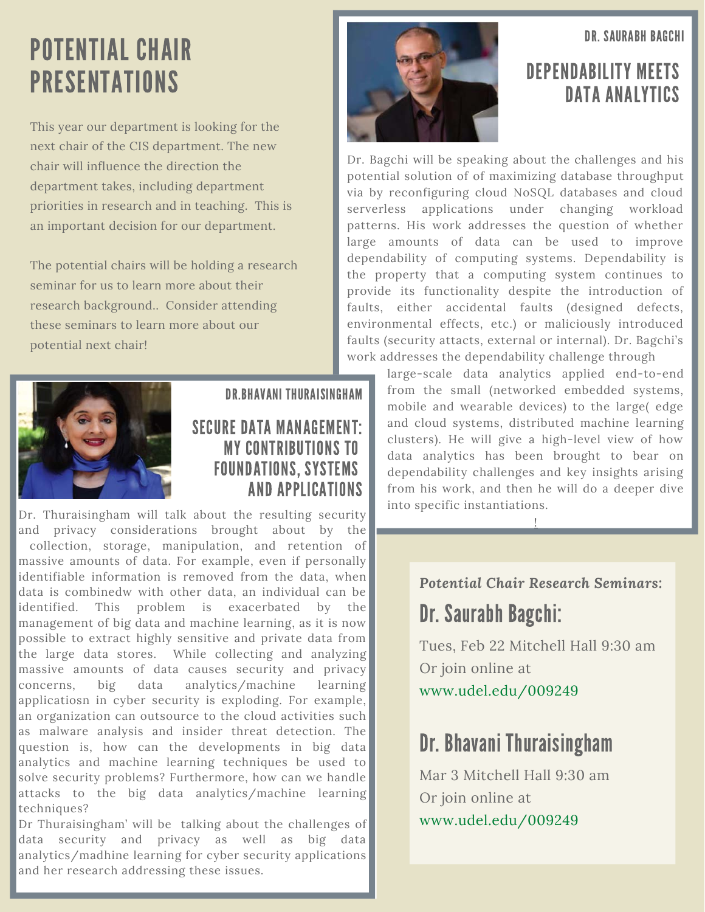DR. SAURABH BAGCHI

# POTENTIAL CHAIR PRESENTATIONS

This year our department is looking for the next chair of the CIS department. The new chair will influence the direction the department takes, including department priorities in research and in teaching. This is an important decision for our department.

The potential chairs will be holding a research seminar for us to learn more about their research background.. Consider attending these seminars to learn more about our potential next chair!



#### DR.BHAVANI THURAISINGHAM

#### SECURE DATA MANAGEMENT: MY CONTRIBUTIONS TO FOUNDATIONS, SYSTEMS AND APPLICATIONS

Dr. Thuraisingham will talk about the resulting security and privacy considerations brought about by the collection, storage, manipulation, and retention of massive amounts of data. For example, even if personally identifiable information is removed from the data, when data is combinedw with other data, an individual can be identified. This problem is exacerbated by the management of big data and machine learning, as it is now possible to extract highly sensitive and private data from the large data stores. While collecting and analyzing massive amounts of data causes security and privacy concerns, big data analytics/machine learning applicatiosn in cyber security is exploding. For example, an organization can outsource to the cloud activities such as malware analysis and insider threat detection. The question is, how can the developments in big data analytics and machine learning techniques be used to solve security problems? Furthermore, how can we handle attacks to the big data analytics/machine learning techniques?

Dr Thuraisingham' will be talking about the challenges of data security and privacy as well as big data analytics/madhine learning for cyber security applications and her research addressing these issues.



#### DEPENDABILITY MEETS DATA ANALYTICS

Dr. Bagchi will be speaking about the challenges and his potential solution of of maximizing database throughput via by reconfiguring cloud NoSQL databases and cloud serverless applications under changing workload patterns. His work addresses the question of whether large amounts of data can be used to improve dependability of computing systems. Dependability is the property that a computing system continues to provide its functionality despite the introduction of faults, either accidental faults (designed defects, environmental effects, etc.) or maliciously introduced faults (security attacts, external or internal). Dr. Bagchi's work addresses the dependability challenge through

> large-scale data analytics applied end-to-end from the small (networked embedded systems, mobile and wearable devices) to the large( edge and cloud systems, distributed machine learning clusters). He will give a high-level view of how data analytics has been brought to bear on dependability challenges and key insights arising from his work, and then he will do a deeper dive into specific instantiations.

> > !

*Potential Chair Research Seminars:* Dr. Saurabh Bagchi:

Tues, Feb 22 Mitchell Hall 9:30 am Or join online at [www.udel.edu/009249](http://www.udel.edu/009249)

### Dr. Bhavani Thuraisingham

Mar 3 Mitchell Hall 9:30 am Or join online at [www.udel.edu/009249](http://www.udel.edu/009249)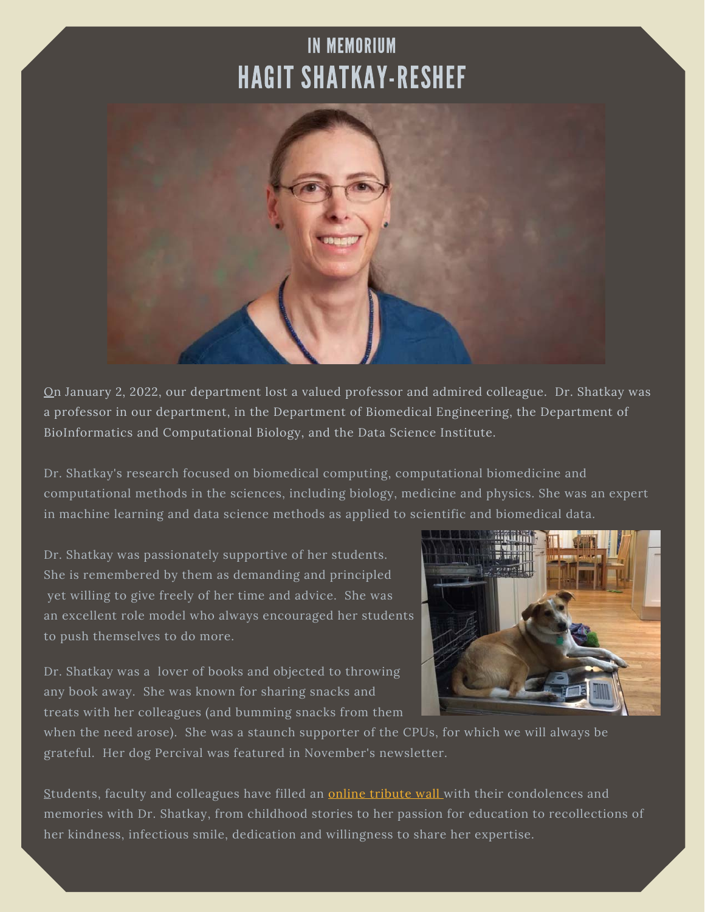## IN MEMORIUM HAGIT SHATKAY-RESHEF



On January 2, 2022, our department lost a valued professor and admired colleague. Dr. Shatkay was a professor in our department, in the Department of Biomedical Engineering, the Department of BioInformatics and Computational Biology, and the Data Science Institute.

Dr. Shatkay's research focused on biomedical computing, computational biomedicine and computational methods in the sciences, including biology, medicine and physics. She was an expert in machine learning and data science methods as applied to scientific and biomedical data.

Dr. Shatkay was passionately supportive of her students. She is remembered by them as demanding and principled yet willing to give freely of her time and advice. She was an excellent role model who always encouraged her students to push themselves to do more.

Dr. Shatkay was a lover of books and objected to throwing any book away. She was known for sharing snacks and treats with her colleagues (and bumming snacks from them



when the need arose). She was a staunch supporter of the CPUs, for which we will always be grateful. Her dog Percival was featured in November's newsletter.

Students, faculty and colleagues have filled an **online tribute wall** with their condolences and memories with Dr. Shatkay, from childhood stories to her passion for education to recollections of her kindness, infectious smile, dedication and willingness to share her expertise.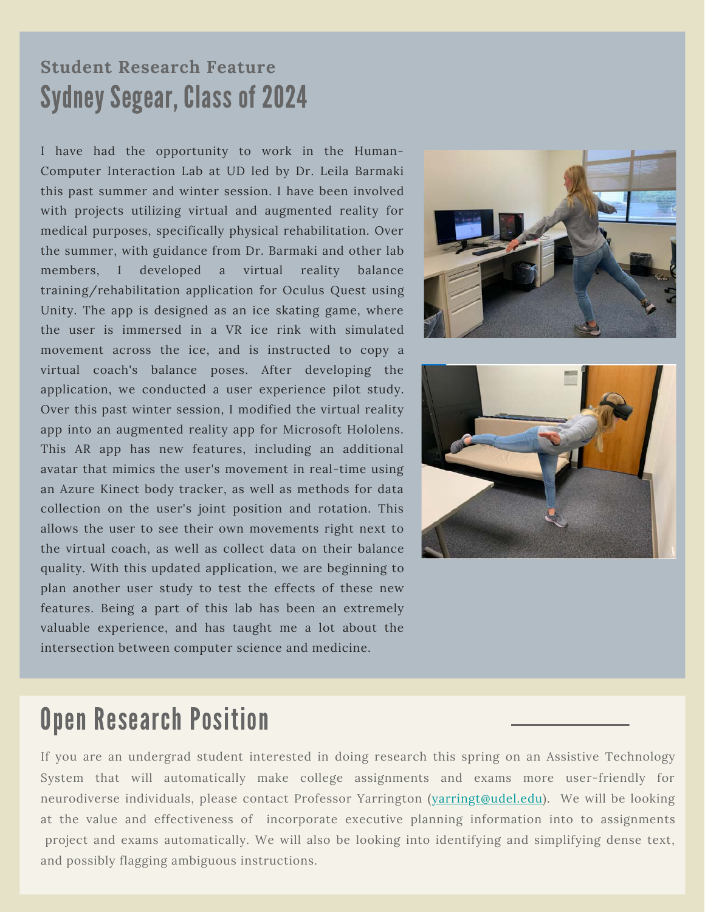### **Student Research Feature** Sydney Segear, Class of 2024

I have had the opportunity to work in the Human-Computer Interaction Lab at UD led by Dr. Leila Barmaki this past summer and winter session. I have been involved with projects utilizing virtual and augmented reality for medical purposes, specifically physical rehabilitation. Over the summer, with guidance from Dr. Barmaki and other lab members, I developed a virtual reality balance training/rehabilitation application for Oculus Quest using Unity. The app is designed as an ice skating game, where the user is immersed in a VR ice rink with simulated movement across the ice, and is instructed to copy a virtual coach's balance poses. After developing the application, we conducted a user experience pilot study. Over this past winter session, I modified the virtual reality app into an augmented reality app for Microsoft Hololens. This AR app has new features, including an additional avatar that mimics the user's movement in real-time using an Azure Kinect body tracker, as well as methods for data collection on the user's joint position and rotation. This allows the user to see their own movements right next to the virtual coach, as well as collect data on their balance quality. With this updated application, we are beginning to plan another user study to test the effects of these new features. Being a part of this lab has been an extremely valuable experience, and has taught me a lot about the intersection between computer science and medicine.





## Open Research Position

If you are an undergrad student interested in doing research this spring on an Assistive Technology System that will automatically make college assignments and exams more user-friendly for neurodiverse individuals, please contact Professor Yarrington (varringt@udel.edu). We will be looking at the value and effectiveness of incorporate executive planning information into to assignments project and exams automatically. We will also be looking into identifying and simplifying dense text, and possibly flagging ambiguous instructions.